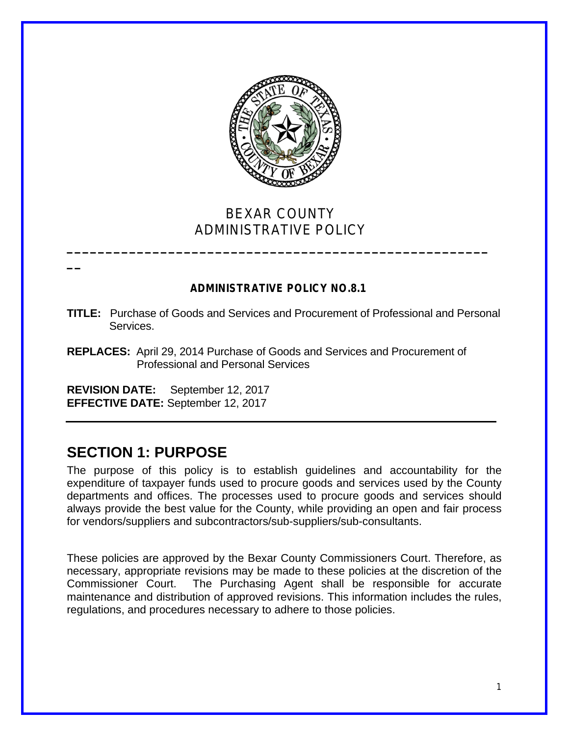

# BEXAR COUNTY ADMINISTRATIVE POLICY

**\_\_\_\_\_\_\_\_\_\_\_\_\_\_\_\_\_\_\_\_\_\_\_\_\_\_\_\_\_\_\_\_\_\_\_\_\_\_\_\_\_\_\_\_\_\_\_\_\_\_\_\_\_\_**

# **ADMINISTRATIVE POLICY NO.8.1**

- **TITLE:** Purchase of Goods and Services and Procurement of Professional and Personal Services.
- **REPLACES:** April 29, 2014 Purchase of Goods and Services and Procurement of Professional and Personal Services

**REVISION DATE:** September 12, 2017 **EFFECTIVE DATE:** September 12, 2017

# **SECTION 1: PURPOSE**

**\_\_**

The purpose of this policy is to establish guidelines and accountability for the expenditure of taxpayer funds used to procure goods and services used by the County departments and offices. The processes used to procure goods and services should always provide the best value for the County, while providing an open and fair process for vendors/suppliers and subcontractors/sub-suppliers/sub-consultants.

These policies are approved by the Bexar County Commissioners Court. Therefore, as necessary, appropriate revisions may be made to these policies at the discretion of the Commissioner Court. The Purchasing Agent shall be responsible for accurate maintenance and distribution of approved revisions. This information includes the rules, regulations, and procedures necessary to adhere to those policies.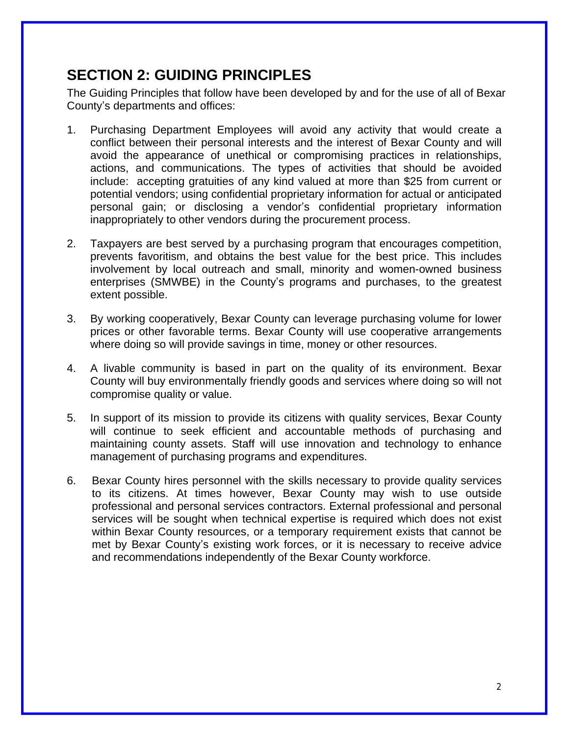# **SECTION 2: GUIDING PRINCIPLES**

The Guiding Principles that follow have been developed by and for the use of all of Bexar County's departments and offices:

- 1. Purchasing Department Employees will avoid any activity that would create a conflict between their personal interests and the interest of Bexar County and will avoid the appearance of unethical or compromising practices in relationships, actions, and communications. The types of activities that should be avoided include: accepting gratuities of any kind valued at more than \$25 from current or potential vendors; using confidential proprietary information for actual or anticipated personal gain; or disclosing a vendor's confidential proprietary information inappropriately to other vendors during the procurement process.
- 2. Taxpayers are best served by a purchasing program that encourages competition, prevents favoritism, and obtains the best value for the best price. This includes involvement by local outreach and small, minority and women-owned business enterprises (SMWBE) in the County's programs and purchases, to the greatest extent possible.
- 3. By working cooperatively, Bexar County can leverage purchasing volume for lower prices or other favorable terms. Bexar County will use cooperative arrangements where doing so will provide savings in time, money or other resources.
- 4. A livable community is based in part on the quality of its environment. Bexar County will buy environmentally friendly goods and services where doing so will not compromise quality or value.
- 5. In support of its mission to provide its citizens with quality services, Bexar County will continue to seek efficient and accountable methods of purchasing and maintaining county assets. Staff will use innovation and technology to enhance management of purchasing programs and expenditures.
- 6. Bexar County hires personnel with the skills necessary to provide quality services to its citizens. At times however, Bexar County may wish to use outside professional and personal services contractors. External professional and personal services will be sought when technical expertise is required which does not exist within Bexar County resources, or a temporary requirement exists that cannot be met by Bexar County's existing work forces, or it is necessary to receive advice and recommendations independently of the Bexar County workforce.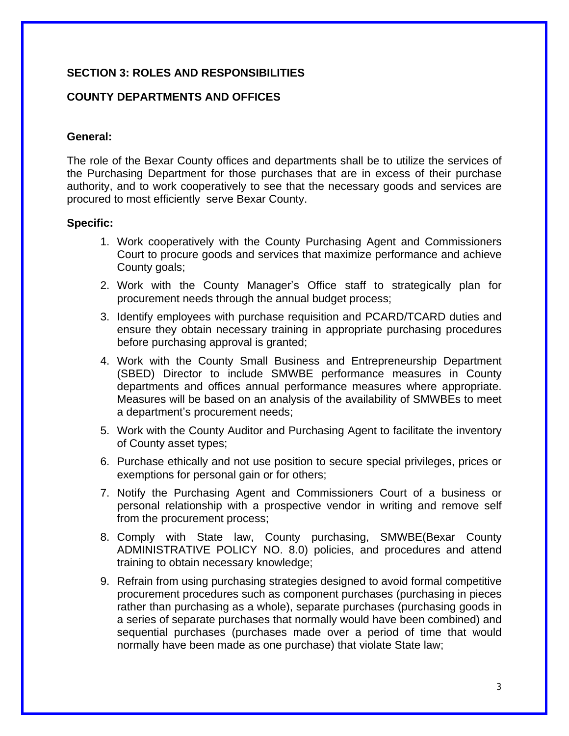# **SECTION 3: ROLES AND RESPONSIBILITIES**

## **COUNTY DEPARTMENTS AND OFFICES**

#### **General:**

The role of the Bexar County offices and departments shall be to utilize the services of the Purchasing Department for those purchases that are in excess of their purchase authority, and to work cooperatively to see that the necessary goods and services are procured to most efficiently serve Bexar County.

#### **Specific:**

- 1. Work cooperatively with the County Purchasing Agent and Commissioners Court to procure goods and services that maximize performance and achieve County goals;
- 2. Work with the County Manager's Office staff to strategically plan for procurement needs through the annual budget process;
- 3. Identify employees with purchase requisition and PCARD/TCARD duties and ensure they obtain necessary training in appropriate purchasing procedures before purchasing approval is granted;
- 4. Work with the County Small Business and Entrepreneurship Department (SBED) Director to include SMWBE performance measures in County departments and offices annual performance measures where appropriate. Measures will be based on an analysis of the availability of SMWBEs to meet a department's procurement needs;
- 5. Work with the County Auditor and Purchasing Agent to facilitate the inventory of County asset types;
- 6. Purchase ethically and not use position to secure special privileges, prices or exemptions for personal gain or for others;
- 7. Notify the Purchasing Agent and Commissioners Court of a business or personal relationship with a prospective vendor in writing and remove self from the procurement process;
- 8. Comply with State law, County purchasing, SMWBE(Bexar County ADMINISTRATIVE POLICY NO. 8.0) policies, and procedures and attend training to obtain necessary knowledge;
- 9. Refrain from using purchasing strategies designed to avoid formal competitive procurement procedures such as component purchases (purchasing in pieces rather than purchasing as a whole), separate purchases (purchasing goods in a series of separate purchases that normally would have been combined) and sequential purchases (purchases made over a period of time that would normally have been made as one purchase) that violate State law;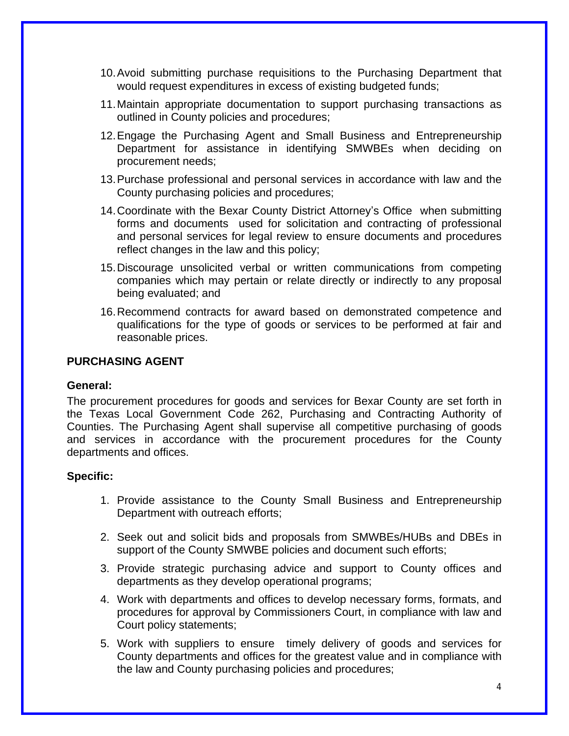- 10.Avoid submitting purchase requisitions to the Purchasing Department that would request expenditures in excess of existing budgeted funds;
- 11.Maintain appropriate documentation to support purchasing transactions as outlined in County policies and procedures;
- 12.Engage the Purchasing Agent and Small Business and Entrepreneurship Department for assistance in identifying SMWBEs when deciding on procurement needs;
- 13.Purchase professional and personal services in accordance with law and the County purchasing policies and procedures;
- 14.Coordinate with the Bexar County District Attorney's Office when submitting forms and documents used for solicitation and contracting of professional and personal services for legal review to ensure documents and procedures reflect changes in the law and this policy;
- 15.Discourage unsolicited verbal or written communications from competing companies which may pertain or relate directly or indirectly to any proposal being evaluated; and
- 16.Recommend contracts for award based on demonstrated competence and qualifications for the type of goods or services to be performed at fair and reasonable prices.

#### **PURCHASING AGENT**

#### **General:**

The procurement procedures for goods and services for Bexar County are set forth in the Texas Local Government Code 262, Purchasing and Contracting Authority of Counties. The Purchasing Agent shall supervise all competitive purchasing of goods and services in accordance with the procurement procedures for the County departments and offices.

#### **Specific:**

- 1. Provide assistance to the County Small Business and Entrepreneurship Department with outreach efforts;
- 2. Seek out and solicit bids and proposals from SMWBEs/HUBs and DBEs in support of the County SMWBE policies and document such efforts;
- 3. Provide strategic purchasing advice and support to County offices and departments as they develop operational programs;
- 4. Work with departments and offices to develop necessary forms, formats, and procedures for approval by Commissioners Court, in compliance with law and Court policy statements;
- 5. Work with suppliers to ensure timely delivery of goods and services for County departments and offices for the greatest value and in compliance with the law and County purchasing policies and procedures;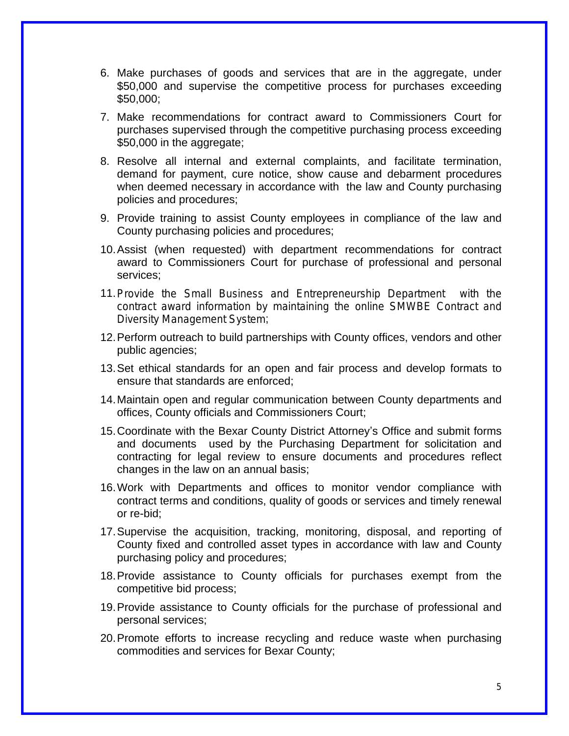- 6. Make purchases of goods and services that are in the aggregate, under \$50,000 and supervise the competitive process for purchases exceeding \$50,000;
- 7. Make recommendations for contract award to Commissioners Court for purchases supervised through the competitive purchasing process exceeding \$50,000 in the aggregate;
- 8. Resolve all internal and external complaints, and facilitate termination, demand for payment, cure notice, show cause and debarment procedures when deemed necessary in accordance with the law and County purchasing policies and procedures;
- 9. Provide training to assist County employees in compliance of the law and County purchasing policies and procedures;
- 10.Assist (when requested) with department recommendations for contract award to Commissioners Court for purchase of professional and personal services;
- 11.Provide the Small Business and Entrepreneurship Department with the contract award information by maintaining the online SMWBE Contract and Diversity Management System;
- 12.Perform outreach to build partnerships with County offices, vendors and other public agencies;
- 13.Set ethical standards for an open and fair process and develop formats to ensure that standards are enforced;
- 14.Maintain open and regular communication between County departments and offices, County officials and Commissioners Court;
- 15.Coordinate with the Bexar County District Attorney's Office and submit forms and documents used by the Purchasing Department for solicitation and contracting for legal review to ensure documents and procedures reflect changes in the law on an annual basis;
- 16.Work with Departments and offices to monitor vendor compliance with contract terms and conditions, quality of goods or services and timely renewal or re-bid;
- 17.Supervise the acquisition, tracking, monitoring, disposal, and reporting of County fixed and controlled asset types in accordance with law and County purchasing policy and procedures;
- 18.Provide assistance to County officials for purchases exempt from the competitive bid process;
- 19.Provide assistance to County officials for the purchase of professional and personal services;
- 20.Promote efforts to increase recycling and reduce waste when purchasing commodities and services for Bexar County;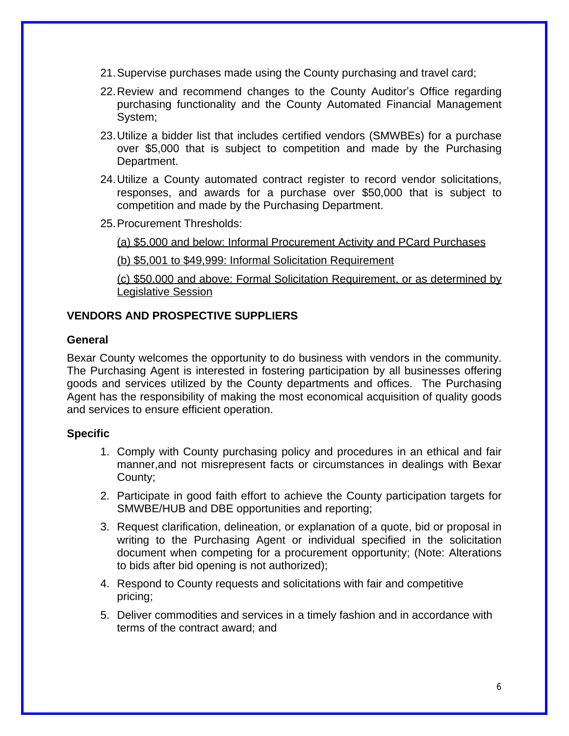- 21.Supervise purchases made using the County purchasing and travel card;
- 22.Review and recommend changes to the County Auditor's Office regarding purchasing functionality and the County Automated Financial Management System;
- 23.Utilize a bidder list that includes certified vendors (SMWBEs) for a purchase over \$5,000 that is subject to competition and made by the Purchasing Department.
- 24.Utilize a County automated contract register to record vendor solicitations, responses, and awards for a purchase over \$50,000 that is subject to competition and made by the Purchasing Department.
- 25.Procurement Thresholds:

(a) \$5,000 and below: Informal Procurement Activity and PCard Purchases

(b) \$5,001 to \$49,999: Informal Solicitation Requirement

(c) \$50,000 and above: Formal Solicitation Requirement, or as determined by Legislative Session

### **VENDORS AND PROSPECTIVE SUPPLIERS**

#### **General**

Bexar County welcomes the opportunity to do business with vendors in the community. The Purchasing Agent is interested in fostering participation by all businesses offering goods and services utilized by the County departments and offices. The Purchasing Agent has the responsibility of making the most economical acquisition of quality goods and services to ensure efficient operation.

#### **Specific**

- 1. Comply with County purchasing policy and procedures in an ethical and fair manner,and not misrepresent facts or circumstances in dealings with Bexar County;
- 2. Participate in good faith effort to achieve the County participation targets for SMWBE/HUB and DBE opportunities and reporting;
- 3. Request clarification, delineation, or explanation of a quote, bid or proposal in writing to the Purchasing Agent or individual specified in the solicitation document when competing for a procurement opportunity; (Note: Alterations to bids after bid opening is not authorized);
- 4. Respond to County requests and solicitations with fair and competitive pricing;
- 5. Deliver commodities and services in a timely fashion and in accordance with terms of the contract award; and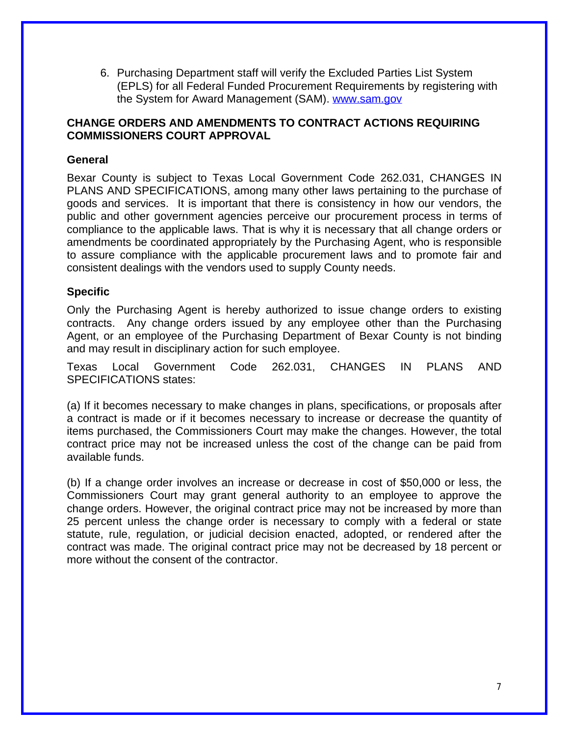6. Purchasing Department staff will verify the Excluded Parties List System (EPLS) for all Federal Funded Procurement Requirements by registering with the System for Award Management (SAM). [www.sam.gov](http://www.sam.gov)

#### **CHANGE ORDERS AND AMENDMENTS TO CONTRACT ACTIONS REQUIRING COMMISSIONERS COURT APPROVAL**

## **General**

Bexar County is subject to Texas Local Government Code 262.031, CHANGES IN PLANS AND SPECIFICATIONS, among many other laws pertaining to the purchase of goods and services. It is important that there is consistency in how our vendors, the public and other government agencies perceive our procurement process in terms of compliance to the applicable laws. That is why it is necessary that all change orders or amendments be coordinated appropriately by the Purchasing Agent, who is responsible to assure compliance with the applicable procurement laws and to promote fair and consistent dealings with the vendors used to supply County needs.

#### **Specific**

Only the Purchasing Agent is hereby authorized to issue change orders to existing contracts. Any change orders issued by any employee other than the Purchasing Agent, or an employee of the Purchasing Department of Bexar County is not binding and may result in disciplinary action for such employee.

Texas Local Government Code 262.031, CHANGES IN PLANS AND SPECIFICATIONS states:

(a) If it becomes necessary to make changes in plans, specifications, or proposals after a contract is made or if it becomes necessary to increase or decrease the quantity of items purchased, the Commissioners Court may make the changes. However, the total contract price may not be increased unless the cost of the change can be paid from available funds.

(b) If a change order involves an increase or decrease in cost of \$50,000 or less, the Commissioners Court may grant general authority to an employee to approve the change orders. However, the original contract price may not be increased by more than 25 percent unless the change order is necessary to comply with a federal or state statute, rule, regulation, or judicial decision enacted, adopted, or rendered after the contract was made. The original contract price may not be decreased by 18 percent or more without the consent of the contractor.